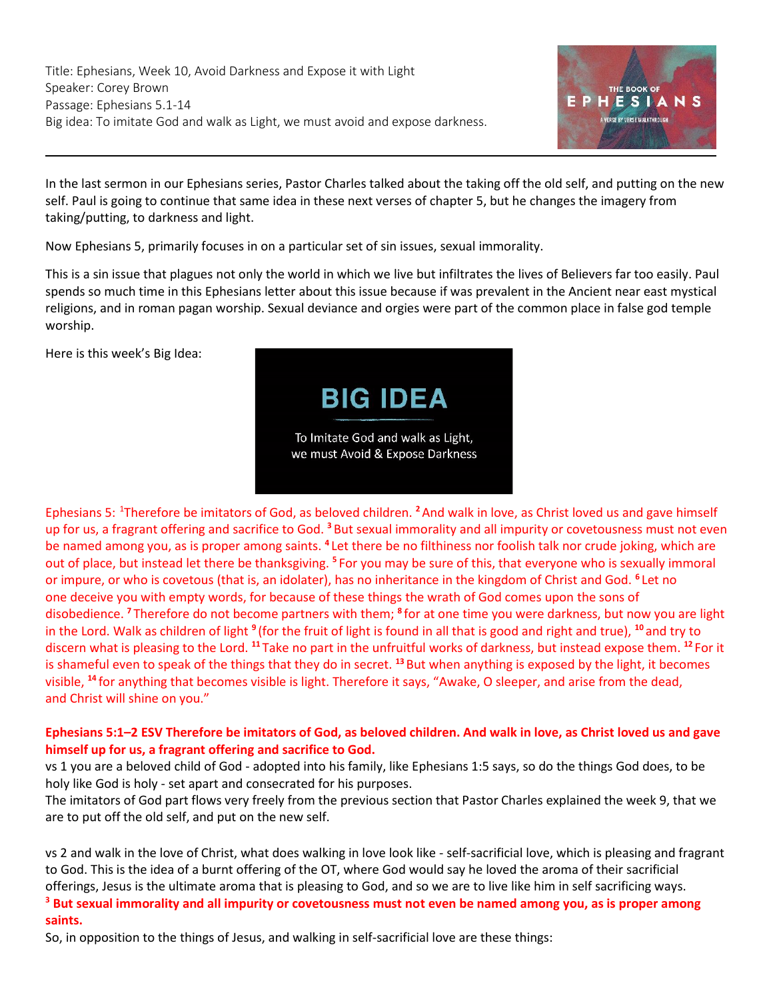

In the last sermon in our Ephesians series, Pastor Charles talked about the taking off the old self, and putting on the new self. Paul is going to continue that same idea in these next verses of chapter 5, but he changes the imagery from taking/putting, to darkness and light.

Now [Ephesians 5,](https://ref.ly/logosref/Bible.Eph5) primarily focuses in on a particular set of sin issues, sexual immorality.

This is a sin issue that plagues not only the world in which we live but infiltrates the lives of Believers far too easily. Paul spends so much time in this Ephesians letter about this issue because if was prevalent in the Ancient near east mystical religions, and in roman pagan worship. Sexual deviance and orgies were part of the common place in false god temple worship.

Here is this week's Big Idea:



Ephesians 5:<sup>1</sup>Therefore be imitators of God, as beloved children. **<sup>2</sup>**And walk in love, as Christ loved us and gave himself up for us, a fragrant offering and sacrifice to God. **<sup>3</sup>** But sexual immorality and all impurity or covetousness must not even be named among you, as is proper among saints. <sup>4</sup> Let there be no filthiness nor foolish talk nor crude joking, which are out of place, but instead let there be thanksgiving. **<sup>5</sup>** For you may be sure of this, that everyone who is sexually immoral or impure, or who is covetous (that is, an idolater), has no inheritance in the kingdom of Christ and God. **<sup>6</sup>** Let no one deceive you with empty words, for because of these things the wrath of God comes upon the sons of disobedience. **<sup>7</sup>** Therefore do not become partners with them; **<sup>8</sup>** for at one time you were darkness, but now you are light in the Lord. Walk as children of light <sup>9</sup> (for the fruit of light is found in all that is good and right and true), <sup>10</sup> and try to discern what is pleasing to the Lord. **<sup>11</sup>** Take no part in the unfruitful works of darkness, but instead expose them. **<sup>12</sup>** For it is shameful even to speak of the things that they do in secret. **<sup>13</sup>** But when anything is exposed by the light, it becomes visible, **<sup>14</sup>** for anything that becomes visible is light. Therefore it says, "Awake, O sleeper, and arise from the dead, and Christ will shine on you."

# **[Ephesians 5:1](https://ref.ly/logosref/Bible.Eph5.1)–2 ESV Therefore be imitators of God, as beloved children. And walk in love, as Christ loved us and gave himself up for us, a fragrant offering and sacrifice to God.**

vs 1 you are a beloved child of God - adopted into his family, like Ephesians 1:5 says, so do the things God does, to be holy like God is holy - set apart and consecrated for his purposes.

The imitators of God part flows very freely from the previous section that Pastor Charles explained the week 9, that we are to put off the old self, and put on the new self.

vs 2 and walk in the love of Christ, what does walking in love look like - self-sacrificial love, which is pleasing and fragrant to God. This is the idea of a burnt offering of the OT, where God would say he loved the aroma of their sacrificial offerings, Jesus is the ultimate aroma that is pleasing to God, and so we are to live like him in self sacrificing ways.

**<sup>3</sup> But sexual immorality and all impurity or covetousness must not even be named among you, as is proper among saints.**

So, in opposition to the things of Jesus, and walking in self-sacrificial love are these things: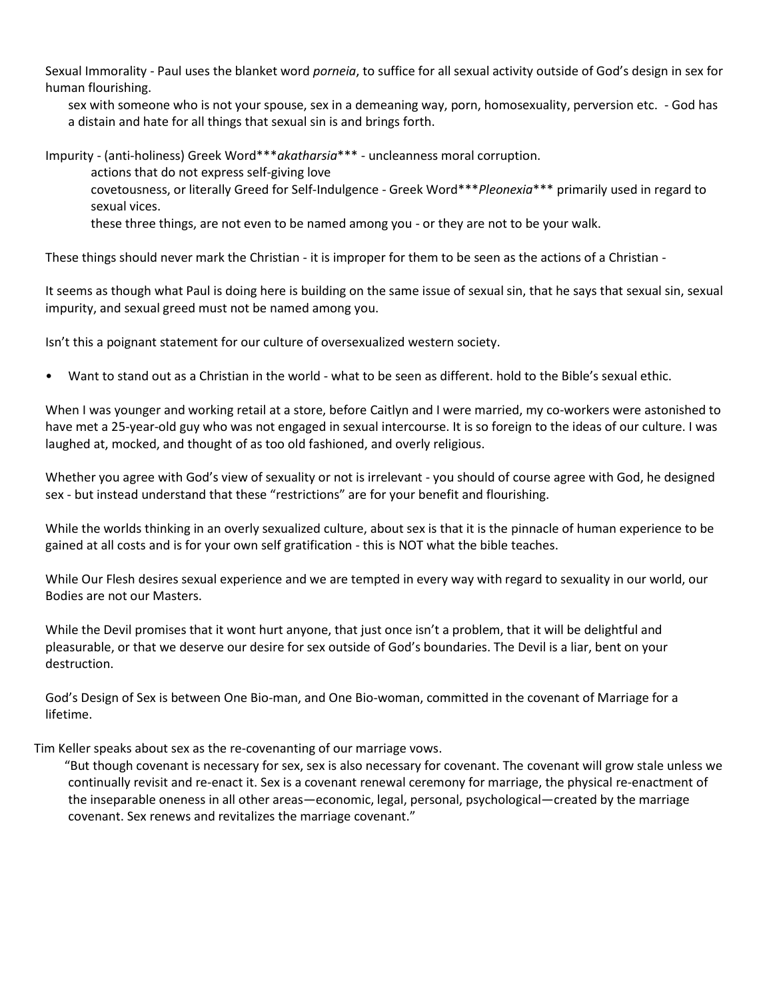Sexual Immorality - Paul uses the blanket word *porneia*, to suffice for all sexual activity outside of God's design in sex for human flourishing.

sex with someone who is not your spouse, sex in a demeaning way, porn, homosexuality, perversion etc. - God has a distain and hate for all things that sexual sin is and brings forth.

Impurity - (anti-holiness) Greek Word\*\*\**akatharsia*\*\*\* - uncleanness moral corruption.

actions that do not express self-giving love

covetousness, or literally Greed for Self-Indulgence - Greek Word\*\*\**Pleonexia*\*\*\* primarily used in regard to sexual vices.

these three things, are not even to be named among you - or they are not to be your walk.

These things should never mark the Christian - it is improper for them to be seen as the actions of a Christian -

It seems as though what Paul is doing here is building on the same issue of sexual sin, that he says that sexual sin, sexual impurity, and sexual greed must not be named among you.

Isn't this a poignant statement for our culture of oversexualized western society.

• Want to stand out as a Christian in the world - what to be seen as different. hold to the Bible's sexual ethic.

When I was younger and working retail at a store, before Caitlyn and I were married, my co-workers were astonished to have met a 25-year-old guy who was not engaged in sexual intercourse. It is so foreign to the ideas of our culture. I was laughed at, mocked, and thought of as too old fashioned, and overly religious.

Whether you agree with God's view of sexuality or not is irrelevant - you should of course agree with God, he designed sex - but instead understand that these "restrictions" are for your benefit and flourishing.

While the worlds thinking in an overly sexualized culture, about sex is that it is the pinnacle of human experience to be gained at all costs and is for your own self gratification - this is NOT what the bible teaches.

While Our Flesh desires sexual experience and we are tempted in every way with regard to sexuality in our world, our Bodies are not our Masters.

While the Devil promises that it wont hurt anyone, that just once isn't a problem, that it will be delightful and pleasurable, or that we deserve our desire for sex outside of God's boundaries. The Devil is a liar, bent on your destruction.

God's Design of Sex is between One Bio-man, and One Bio-woman, committed in the covenant of Marriage for a lifetime.

Tim Keller speaks about sex as the re-covenanting of our marriage vows.

 "But though covenant is necessary for sex, sex is also necessary for covenant. The covenant will grow stale unless we continually revisit and re-enact it. Sex is a covenant renewal ceremony for marriage, the physical re-enactment of the inseparable oneness in all other areas—economic, legal, personal, psychological—created by the marriage covenant. Sex renews and revitalizes the marriage covenant."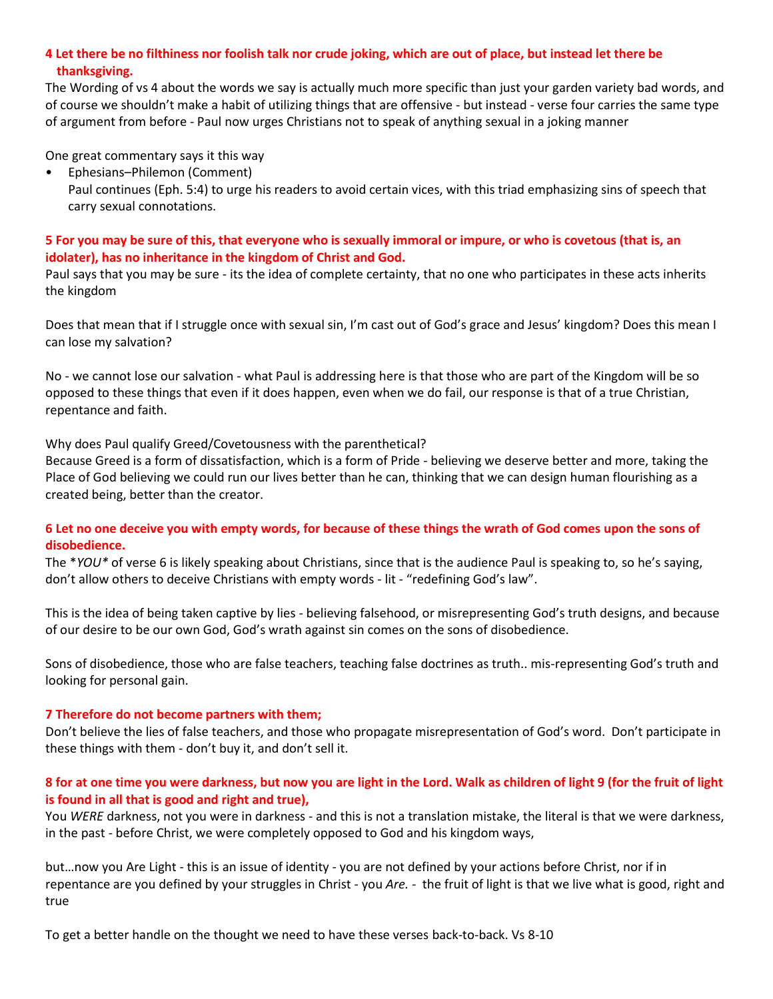## **4 Let there be no filthiness nor foolish talk nor crude joking, which are out of place, but instead let there be thanksgiving.**

The Wording of vs 4 about the words we say is actually much more specific than just your garden variety bad words, and of course we shouldn't make a habit of utilizing things that are offensive - but instead - verse four carries the same type of argument from before - Paul now urges Christians not to speak of anything sexual in a joking manner

One great commentary says it this way

• Ephesians–Philemon (Comment)

Paul continues [\(Eph. 5:4\)](https://ref.ly/logosref/Bible.Eph5.4) to urge his readers to avoid certain vices, with this triad emphasizing sins of speech that carry sexual connotations.

## **5 For you may be sure of this, that everyone who is sexually immoral or impure, or who is covetous (that is, an idolater), has no inheritance in the kingdom of Christ and God.**

Paul says that you may be sure - its the idea of complete certainty, that no one who participates in these acts inherits the kingdom

Does that mean that if I struggle once with sexual sin, I'm cast out of God's grace and Jesus' kingdom? Does this mean I can lose my salvation?

No - we cannot lose our salvation - what Paul is addressing here is that those who are part of the Kingdom will be so opposed to these things that even if it does happen, even when we do fail, our response is that of a true Christian, repentance and faith.

## Why does Paul qualify Greed/Covetousness with the parenthetical?

Because Greed is a form of dissatisfaction, which is a form of Pride - believing we deserve better and more, taking the Place of God believing we could run our lives better than he can, thinking that we can design human flourishing as a created being, better than the creator.

## **6 Let no one deceive you with empty words, for because of these things the wrath of God comes upon the sons of disobedience.**

The \**YOU\** of verse 6 is likely speaking about Christians, since that is the audience Paul is speaking to, so he's saying, don't allow others to deceive Christians with empty words - lit - "redefining God's law".

This is the idea of being taken captive by lies - believing falsehood, or misrepresenting God's truth designs, and because of our desire to be our own God, God's wrath against sin comes on the sons of disobedience.

Sons of disobedience, those who are false teachers, teaching false doctrines as truth.. mis-representing God's truth and looking for personal gain.

## **7 Therefore do not become partners with them;**

Don't believe the lies of false teachers, and those who propagate misrepresentation of God's word. Don't participate in these things with them - don't buy it, and don't sell it.

## **8 for at one time you were darkness, but now you are light in the Lord. Walk as children of light 9 (for the fruit of light is found in all that is good and right and true),**

You *WERE* darkness, not you were in darkness - and this is not a translation mistake, the literal is that we were darkness, in the past - before Christ, we were completely opposed to God and his kingdom ways,

but…now you Are Light - this is an issue of identity - you are not defined by your actions before Christ, nor if in repentance are you defined by your struggles in Christ - you *Are. -* the fruit of light is that we live what is good, right and true

To get a better handle on the thought we need to have these verses back-to-back. Vs 8-10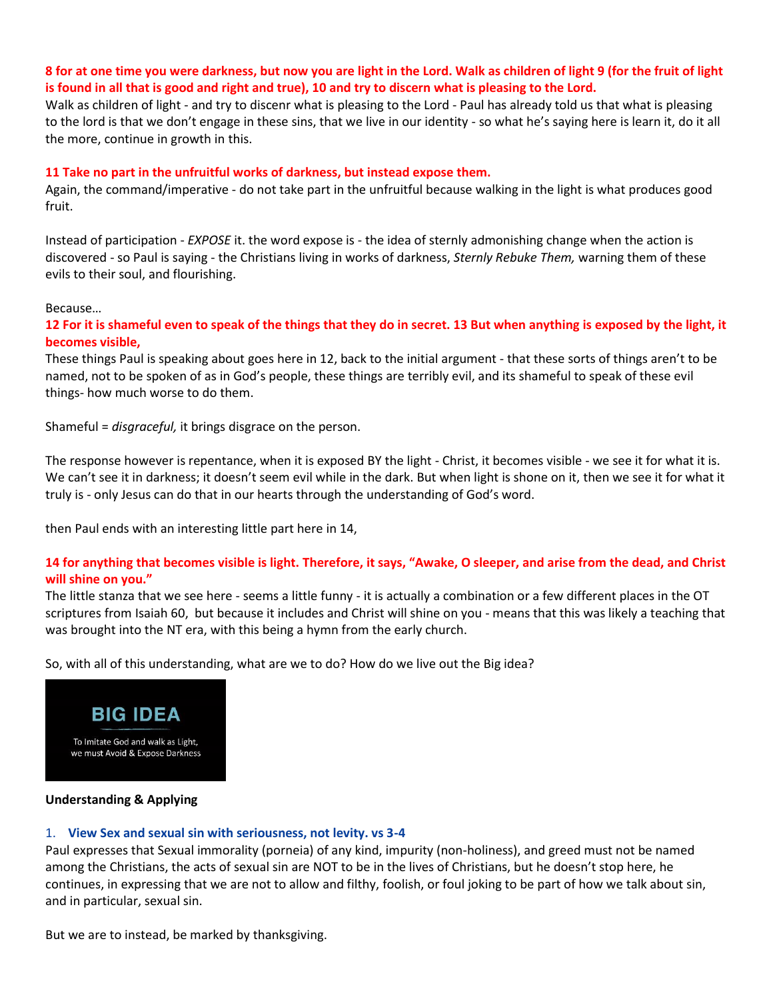## **8 for at one time you were darkness, but now you are light in the Lord. Walk as children of light 9 (for the fruit of light is found in all that is good and right and true), 10 and try to discern what is pleasing to the Lord.**

Walk as children of light - and try to discenr what is pleasing to the Lord - Paul has already told us that what is pleasing to the lord is that we don't engage in these sins, that we live in our identity - so what he's saying here is learn it, do it all the more, continue in growth in this.

### **11 Take no part in the unfruitful works of darkness, but instead expose them.**

Again, the command/imperative - do not take part in the unfruitful because walking in the light is what produces good fruit.

Instead of participation - *EXPOSE* it. the word expose is - the idea of sternly admonishing change when the action is discovered - so Paul is saying - the Christians living in works of darkness, *Sternly Rebuke Them,* warning them of these evils to their soul, and flourishing.

#### Because…

**12 For it is shameful even to speak of the things that they do in secret. 13 But when anything is exposed by the light, it becomes visible,**

These things Paul is speaking about goes here in 12, back to the initial argument - that these sorts of things aren't to be named, not to be spoken of as in God's people, these things are terribly evil, and its shameful to speak of these evil things- how much worse to do them.

Shameful = *disgraceful,* it brings disgrace on the person.

The response however is repentance, when it is exposed BY the light - Christ, it becomes visible - we see it for what it is. We can't see it in darkness; it doesn't seem evil while in the dark. But when light is shone on it, then we see it for what it truly is - only Jesus can do that in our hearts through the understanding of God's word.

then Paul ends with an interesting little part here in 14,

## **14 for anything that becomes visible is light. Therefore, it says, "Awake, O sleeper, and arise from the dead, and Christ will shine on you."**

The little stanza that we see here - seems a little funny - it is actually a combination or a few different places in the OT scriptures from [Isaiah 60,](https://ref.ly/logosref/Bible.Is60) but because it includes and Christ will shine on you - means that this was likely a teaching that was brought into the NT era, with this being a hymn from the early church.

So, with all of this understanding, what are we to do? How do we live out the Big idea?



### **Understanding & Applying**

## 1. **View Sex and sexual sin with seriousness, not levity. vs 3-4**

Paul expresses that Sexual immorality (porneia) of any kind, impurity (non-holiness), and greed must not be named among the Christians, the acts of sexual sin are NOT to be in the lives of Christians, but he doesn't stop here, he continues, in expressing that we are not to allow and filthy, foolish, or foul joking to be part of how we talk about sin, and in particular, sexual sin.

But we are to instead, be marked by thanksgiving.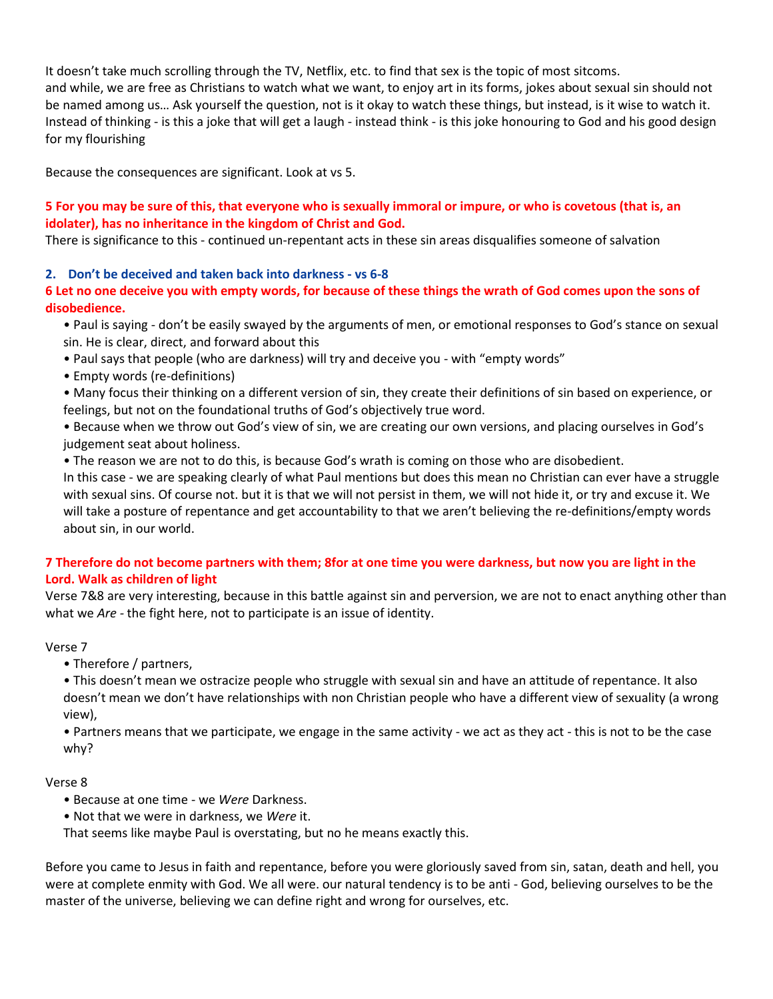It doesn't take much scrolling through the TV, Netflix, etc. to find that sex is the topic of most sitcoms. and while, we are free as Christians to watch what we want, to enjoy art in its forms, jokes about sexual sin should not be named among us… Ask yourself the question, not is it okay to watch these things, but instead, is it wise to watch it. Instead of thinking - is this a joke that will get a laugh - instead think - is this joke honouring to God and his good design for my flourishing

Because the consequences are significant. Look at vs 5.

## **5 For you may be sure of this, that everyone who is sexually immoral or impure, or who is covetous (that is, an idolater), has no inheritance in the kingdom of Christ and God.**

There is significance to this - continued un-repentant acts in these sin areas disqualifies someone of salvation

## **2. Don't be deceived and taken back into darkness - vs 6-8**

## **6 Let no one deceive you with empty words, for because of these things the wrath of God comes upon the sons of disobedience.**

• Paul is saying - don't be easily swayed by the arguments of men, or emotional responses to God's stance on sexual sin. He is clear, direct, and forward about this

- Paul says that people (who are darkness) will try and deceive you with "empty words"
- Empty words (re-definitions)
- Many focus their thinking on a different version of sin, they create their definitions of sin based on experience, or feelings, but not on the foundational truths of God's objectively true word.

• Because when we throw out God's view of sin, we are creating our own versions, and placing ourselves in God's judgement seat about holiness.

• The reason we are not to do this, is because God's wrath is coming on those who are disobedient.

In this case - we are speaking clearly of what Paul mentions but does this mean no Christian can ever have a struggle with sexual sins. Of course not. but it is that we will not persist in them, we will not hide it, or try and excuse it. We will take a posture of repentance and get accountability to that we aren't believing the re-definitions/empty words about sin, in our world.

## **7 Therefore do not become partners with them; 8for at one time you were darkness, but now you are light in the Lord. Walk as children of light**

Verse 7&8 are very interesting, because in this battle against sin and perversion, we are not to enact anything other than what we *Are -* the fight here, not to participate is an issue of identity.

#### Verse 7

• Therefore / partners,

• This doesn't mean we ostracize people who struggle with sexual sin and have an attitude of repentance. It also doesn't mean we don't have relationships with non Christian people who have a different view of sexuality (a wrong view),

• Partners means that we participate, we engage in the same activity - we act as they act - this is not to be the case why?

#### Verse 8

- Because at one time we *Were* Darkness.
- Not that we were in darkness, we *Were* it.

That seems like maybe Paul is overstating, but no he means exactly this.

Before you came to Jesus in faith and repentance, before you were gloriously saved from sin, satan, death and hell, you were at complete enmity with God. We all were. our natural tendency is to be anti - God, believing ourselves to be the master of the universe, believing we can define right and wrong for ourselves, etc.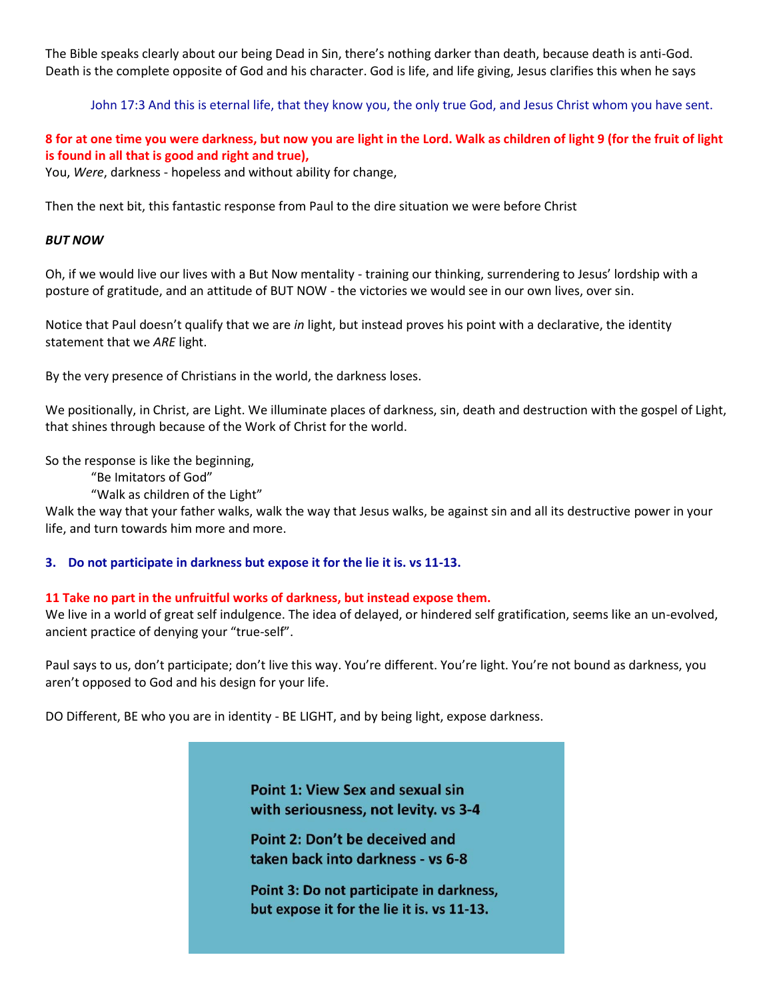The Bible speaks clearly about our being Dead in Sin, there's nothing darker than death, because death is anti-God. Death is the complete opposite of God and his character. God is life, and life giving, Jesus clarifies this when he says

John 17:3 And this is eternal life, that they know you, the only true God, and Jesus Christ whom you have sent.

# **8 for at one time you were darkness, but now you are light in the Lord. Walk as children of light 9 (for the fruit of light is found in all that is good and right and true),**

You, *Were*, darkness - hopeless and without ability for change,

Then the next bit, this fantastic response from Paul to the dire situation we were before Christ

### *BUT NOW*

Oh, if we would live our lives with a But Now mentality - training our thinking, surrendering to Jesus' lordship with a posture of gratitude, and an attitude of BUT NOW - the victories we would see in our own lives, over sin.

Notice that Paul doesn't qualify that we are *in* light, but instead proves his point with a declarative, the identity statement that we *ARE* light.

By the very presence of Christians in the world, the darkness loses.

We positionally, in Christ, are Light. We illuminate places of darkness, sin, death and destruction with the gospel of Light, that shines through because of the Work of Christ for the world.

So the response is like the beginning,

"Be Imitators of God"

"Walk as children of the Light"

Walk the way that your father walks, walk the way that Jesus walks, be against sin and all its destructive power in your life, and turn towards him more and more.

#### **3. Do not participate in darkness but expose it for the lie it is. vs 11-13.**

#### **11 Take no part in the unfruitful works of darkness, but instead expose them.**

We live in a world of great self indulgence. The idea of delayed, or hindered self gratification, seems like an un-evolved, ancient practice of denying your "true-self".

Paul says to us, don't participate; don't live this way. You're different. You're light. You're not bound as darkness, you aren't opposed to God and his design for your life.

DO Different, BE who you are in identity - BE LIGHT, and by being light, expose darkness.

**Point 1: View Sex and sexual sin** with seriousness, not levity. vs 3-4

Point 2: Don't be deceived and taken back into darkness - vs 6-8

Point 3: Do not participate in darkness, but expose it for the lie it is. vs 11-13.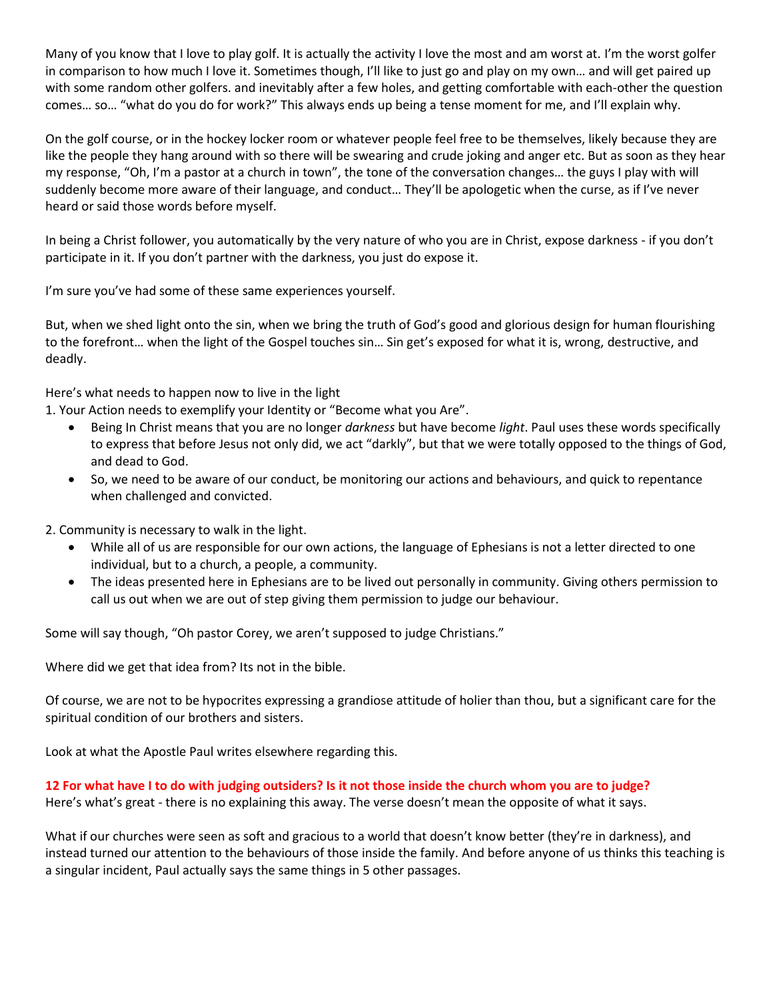Many of you know that I love to play golf. It is actually the activity I love the most and am worst at. I'm the worst golfer in comparison to how much I love it. Sometimes though, I'll like to just go and play on my own… and will get paired up with some random other golfers. and inevitably after a few holes, and getting comfortable with each-other the question comes… so… "what do you do for work?" This always ends up being a tense moment for me, and I'll explain why.

On the golf course, or in the hockey locker room or whatever people feel free to be themselves, likely because they are like the people they hang around with so there will be swearing and crude joking and anger etc. But as soon as they hear my response, "Oh, I'm a pastor at a church in town", the tone of the conversation changes… the guys I play with will suddenly become more aware of their language, and conduct… They'll be apologetic when the curse, as if I've never heard or said those words before myself.

In being a Christ follower, you automatically by the very nature of who you are in Christ, expose darkness - if you don't participate in it. If you don't partner with the darkness, you just do expose it.

I'm sure you've had some of these same experiences yourself.

But, when we shed light onto the sin, when we bring the truth of God's good and glorious design for human flourishing to the forefront… when the light of the Gospel touches sin… Sin get's exposed for what it is, wrong, destructive, and deadly.

Here's what needs to happen now to live in the light

1. Your Action needs to exemplify your Identity or "Become what you Are".

- Being In Christ means that you are no longer *darkness* but have become *light*. Paul uses these words specifically to express that before Jesus not only did, we act "darkly", but that we were totally opposed to the things of God, and dead to God.
- So, we need to be aware of our conduct, be monitoring our actions and behaviours, and quick to repentance when challenged and convicted.

2. Community is necessary to walk in the light.

- While all of us are responsible for our own actions, the language of Ephesians is not a letter directed to one individual, but to a church, a people, a community.
- The ideas presented here in Ephesians are to be lived out personally in community. Giving others permission to call us out when we are out of step giving them permission to judge our behaviour.

Some will say though, "Oh pastor Corey, we aren't supposed to judge Christians."

Where did we get that idea from? Its not in the bible.

Of course, we are not to be hypocrites expressing a grandiose attitude of holier than thou, but a significant care for the spiritual condition of our brothers and sisters.

Look at what the Apostle Paul writes elsewhere regarding this.

**12 For what have I to do with judging outsiders? Is it not those inside the church whom you are to judge?** Here's what's great - there is no explaining this away. The verse doesn't mean the opposite of what it says.

What if our churches were seen as soft and gracious to a world that doesn't know better (they're in darkness), and instead turned our attention to the behaviours of those inside the family. And before anyone of us thinks this teaching is a singular incident, Paul actually says the same things in 5 other passages.